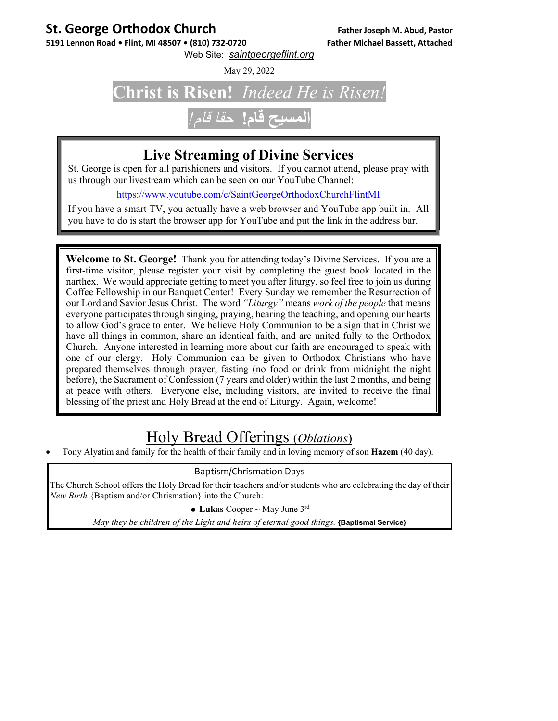#### **St. George Orthodox Church Father Joseph M. Abud, Pastor**

5191 Lennon Road • Flint, MI 48507 • (810) 732-0720 Father Michael Bassett, Attached Web Site: *saintgeorgeflint.org*

May 29, 2022

## **Christ is Risen!** *Indeed He is Risen!*

### **المسيح قام!** حقا قام*!*

#### **Live Streaming of Divine Services**

St. George is open for all parishioners and visitors. If you cannot attend, please pray with us through our livestream which can be seen on our YouTube Channel:

https://www.youtube.com/c/SaintGeorgeOrthodoxChurchFlintMI

If you have a smart TV, you actually have a web browser and YouTube app built in. All you have to do is start the browser app for YouTube and put the link in the address bar.

**Welcome to St. George!** Thank you for attending today's Divine Services. If you are a first-time visitor, please register your visit by completing the guest book located in the narthex. We would appreciate getting to meet you after liturgy, so feel free to join us during Coffee Fellowship in our Banquet Center! Every Sunday we remember the Resurrection of our Lord and Savior Jesus Christ. The word *"Liturgy"* means *work of the people* that means everyone participates through singing, praying, hearing the teaching, and opening our hearts to allow God's grace to enter. We believe Holy Communion to be a sign that in Christ we have all things in common, share an identical faith, and are united fully to the Orthodox Church. Anyone interested in learning more about our faith are encouraged to speak with one of our clergy. Holy Communion can be given to Orthodox Christians who have prepared themselves through prayer, fasting (no food or drink from midnight the night before), the Sacrament of Confession (7 years and older) within the last 2 months, and being at peace with others. Everyone else, including visitors, are invited to receive the final blessing of the priest and Holy Bread at the end of Liturgy. Again, welcome!

#### Holy Bread Offerings (*Oblations*)

Tony Alyatim and family for the health of their family and in loving memory of son **Hazem** (40 day).

#### Baptism/Chrismation Days

The Church School offers the Holy Bread for their teachers and/or students who are celebrating the day of their *New Birth* {Baptism and/or Chrismation} into the Church:

• Lukas Cooper  $\sim$  May June 3<sup>rd</sup>

*May they be children of the Light and heirs of eternal good things.* **{Baptismal Service}**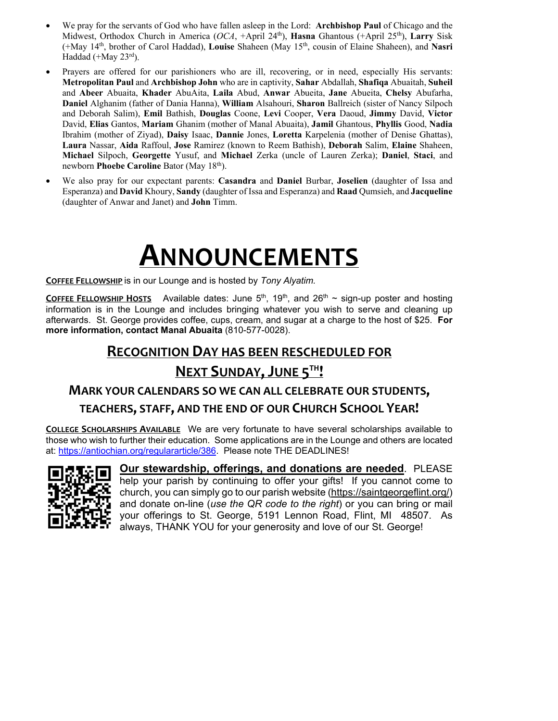- We pray for the servants of God who have fallen asleep in the Lord: **Archbishop Paul** of Chicago and the Midwest, Orthodox Church in America (*OCA*, +April 24th), **Hasna** Ghantous (+April 25th), **Larry** Sisk (+May 14th, brother of Carol Haddad), **Louise** Shaheen (May 15th, cousin of Elaine Shaheen), and **Nasri** Haddad (+May  $23^{\text{rd}}$ ).
- Prayers are offered for our parishioners who are ill, recovering, or in need, especially His servants: **Metropolitan Paul** and **Archbishop John** who are in captivity, **Sahar** Abdallah, **Shafiqa** Abuaitah, **Suheil**  and **Abeer** Abuaita, **Khader** AbuAita, **Laila** Abud, **Anwar** Abueita, **Jane** Abueita, **Chelsy** Abufarha, **Daniel** Alghanim (father of Dania Hanna), **William** Alsahouri, **Sharon** Ballreich (sister of Nancy Silpoch and Deborah Salim), **Emil** Bathish, **Douglas** Coone, **Levi** Cooper, **Vera** Daoud, **Jimmy** David, **Victor** David, **Elias** Gantos, **Mariam** Ghanim (mother of Manal Abuaita), **Jamil** Ghantous, **Phyllis** Good, **Nadia** Ibrahim (mother of Ziyad), **Daisy** Isaac, **Dannie** Jones, **Loretta** Karpelenia (mother of Denise Ghattas), **Laura** Nassar, **Aida** Raffoul, **Jose** Ramirez (known to Reem Bathish), **Deborah** Salim, **Elaine** Shaheen, **Michael** Silpoch, **Georgette** Yusuf, and **Michael** Zerka (uncle of Lauren Zerka); **Daniel**, **Staci**, and newborn **Phoebe Caroline** Bator (May 18th).
- We also pray for our expectant parents: **Casandra** and **Daniel** Burbar, **Joselien** (daughter of Issa and Esperanza) and **David** Khoury, **Sandy** (daughter of Issa and Esperanza) and **Raad** Qumsieh, and **Jacqueline** (daughter of Anwar and Janet) and **John** Timm.

## **ANNOUNCEMENTS**

**COFFEE FELLOWSHIP** is in our Lounge and is hosted by *Tony Alyatim.*

**COFFEE FELLOWSHIP HOSTS** Available dates: June  $5<sup>th</sup>$ , 19<sup>th</sup>, and 26<sup>th</sup> ~ sign-up poster and hosting information is in the Lounge and includes bringing whatever you wish to serve and cleaning up afterwards. St. George provides coffee, cups, cream, and sugar at a charge to the host of \$25. **For more information, contact Manal Abuaita** (810-577-0028).

#### **RECOGNITION DAY HAS BEEN RESCHEDULED FOR NEXT SUNDAY,JUNE 5TH!**

#### **MARK YOUR CALENDARS SO WE CAN ALL CELEBRATE OUR STUDENTS,**

#### **TEACHERS, STAFF, AND THE END OF OUR CHURCH SCHOOL YEAR!**

**COLLEGE SCHOLARSHIPS AVAILABLE** We are very fortunate to have several scholarships available to those who wish to further their education. Some applications are in the Lounge and others are located at: https://antiochian.org/regulararticle/386. Please note THE DEADLINES!



**Our stewardship, offerings, and donations are needed**. PLEASE help your parish by continuing to offer your gifts! If you cannot come to church, you can simply go to our parish website (https://saintgeorgeflint.org/) and donate on-line (*use the QR code to the right*) or you can bring or mail your offerings to St. George, 5191 Lennon Road, Flint, MI 48507. As always, THANK YOU for your generosity and love of our St. George!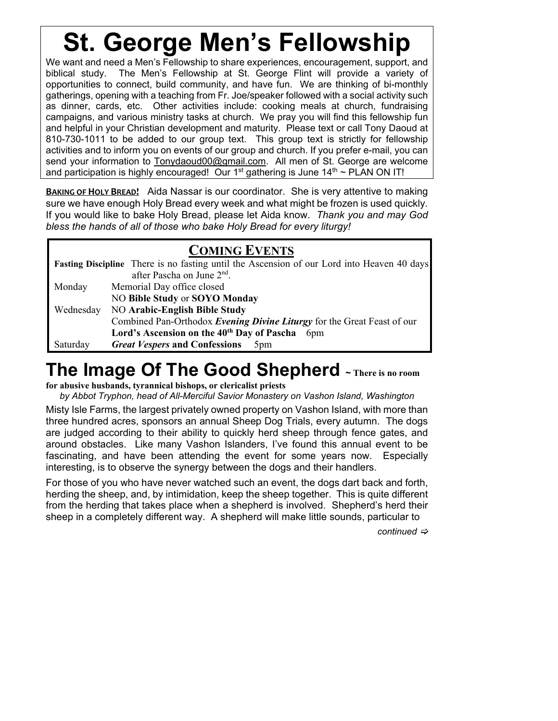# **St. George Men's Fellowship**

We want and need a Men's Fellowship to share experiences, encouragement, support, and biblical study. The Men's Fellowship at St. George Flint will provide a variety of opportunities to connect, build community, and have fun. We are thinking of bi-monthly gatherings, opening with a teaching from Fr. Joe/speaker followed with a social activity such as dinner, cards, etc. Other activities include: cooking meals at church, fundraising campaigns, and various ministry tasks at church. We pray you will find this fellowship fun and helpful in your Christian development and maturity. Please text or call Tony Daoud at 810-730-1011 to be added to our group text. This group text is strictly for fellowship activities and to inform you on events of our group and church. If you prefer e-mail, you can send your information to Tonydaoud00@gmail.com. All men of St. George are welcome and participation is highly encouraged! Our  $1<sup>st</sup>$  gathering is June  $14<sup>th</sup> \sim PLAN ON IT!$ 

**BAKING OF HOLY BREAD!** Aida Nassar is our coordinator. She is very attentive to making sure we have enough Holy Bread every week and what might be frozen is used quickly. If you would like to bake Holy Bread, please let Aida know. *Thank you and may God bless the hands of all of those who bake Holy Bread for every liturgy!*

#### **COMING EVENTS**

| <b>Fasting Discipline</b> There is no fasting until the Ascension of our Lord into Heaven 40 days |                                                                           |
|---------------------------------------------------------------------------------------------------|---------------------------------------------------------------------------|
|                                                                                                   | after Pascha on June 2 <sup>nd</sup> .                                    |
| Monday                                                                                            | Memorial Day office closed                                                |
|                                                                                                   | NO Bible Study or SOYO Monday                                             |
| Wednesday                                                                                         | <b>NO Arabic-English Bible Study</b>                                      |
|                                                                                                   | Combined Pan-Orthodox Evening Divine Liturgy for the Great Feast of our   |
|                                                                                                   | Lord's Ascension on the 40 <sup>th</sup> Day of Pascha<br>6 <sub>pm</sub> |
| Saturday                                                                                          | <b>Great Vespers and Confessions</b><br>5 <sub>pm</sub>                   |

### **The Image Of The Good Shepherd ~ There is no room**

**for abusive husbands, tyrannical bishops, or clericalist priests**

*by Abbot Tryphon, head of All-Merciful Savior Monastery on Vashon Island, Washington* 

Misty Isle Farms, the largest privately owned property on Vashon Island, with more than three hundred acres, sponsors an annual Sheep Dog Trials, every autumn. The dogs are judged according to their ability to quickly herd sheep through fence gates, and around obstacles. Like many Vashon Islanders, I've found this annual event to be fascinating, and have been attending the event for some years now. Especially interesting, is to observe the synergy between the dogs and their handlers.

For those of you who have never watched such an event, the dogs dart back and forth, herding the sheep, and, by intimidation, keep the sheep together. This is quite different from the herding that takes place when a shepherd is involved. Shepherd's herd their sheep in a completely different way. A shepherd will make little sounds, particular to

*continued*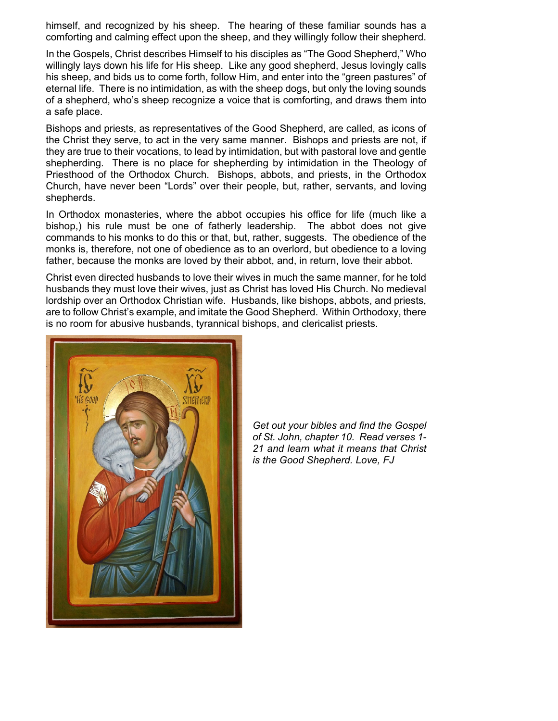himself, and recognized by his sheep. The hearing of these familiar sounds has a comforting and calming effect upon the sheep, and they willingly follow their shepherd.

In the Gospels, Christ describes Himself to his disciples as "The Good Shepherd," Who willingly lays down his life for His sheep. Like any good shepherd, Jesus lovingly calls his sheep, and bids us to come forth, follow Him, and enter into the "green pastures" of eternal life. There is no intimidation, as with the sheep dogs, but only the loving sounds of a shepherd, who's sheep recognize a voice that is comforting, and draws them into a safe place.

Bishops and priests, as representatives of the Good Shepherd, are called, as icons of the Christ they serve, to act in the very same manner. Bishops and priests are not, if they are true to their vocations, to lead by intimidation, but with pastoral love and gentle shepherding. There is no place for shepherding by intimidation in the Theology of Priesthood of the Orthodox Church. Bishops, abbots, and priests, in the Orthodox Church, have never been "Lords" over their people, but, rather, servants, and loving shepherds.

In Orthodox monasteries, where the abbot occupies his office for life (much like a bishop,) his rule must be one of fatherly leadership. The abbot does not give commands to his monks to do this or that, but, rather, suggests. The obedience of the monks is, therefore, not one of obedience as to an overlord, but obedience to a loving father, because the monks are loved by their abbot, and, in return, love their abbot.

Christ even directed husbands to love their wives in much the same manner, for he told husbands they must love their wives, just as Christ has loved His Church. No medieval lordship over an Orthodox Christian wife. Husbands, like bishops, abbots, and priests, are to follow Christ's example, and imitate the Good Shepherd. Within Orthodoxy, there is no room for abusive husbands, tyrannical bishops, and clericalist priests.



*Get out your bibles and find the Gospel of St. John, chapter 10. Read verses 1- 21 and learn what it means that Christ is the Good Shepherd. Love, FJ*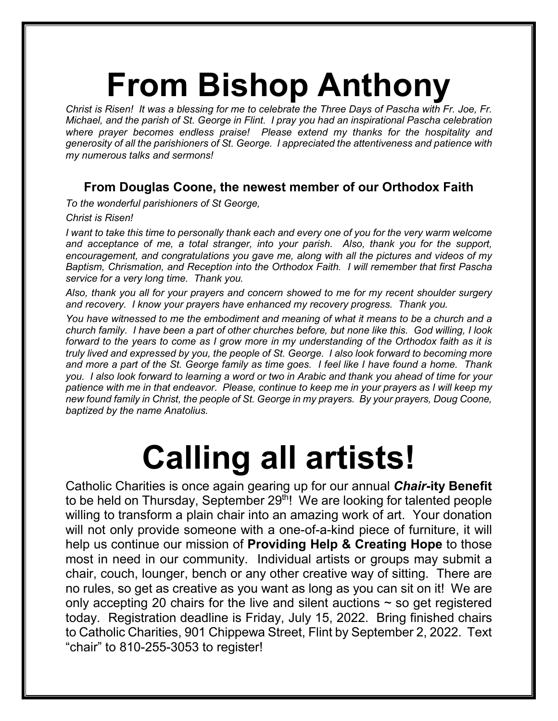# **From Bishop Anthony**

*Christ is Risen! It was a blessing for me to celebrate the Three Days of Pascha with Fr. Joe, Fr. Michael, and the parish of St. George in Flint. I pray you had an inspirational Pascha celebration where prayer becomes endless praise! Please extend my thanks for the hospitality and generosity of all the parishioners of St. George. I appreciated the attentiveness and patience with my numerous talks and sermons!*

#### **From Douglas Coone, the newest member of our Orthodox Faith**

*To the wonderful parishioners of St George,*

*Christ is Risen!*

*I* want to take this time to personally thank each and every one of you for the very warm welcome *and acceptance of me, a total stranger, into your parish. Also, thank you for the support, encouragement, and congratulations you gave me, along with all the pictures and videos of my Baptism, Chrismation, and Reception into the Orthodox Faith. I will remember that first Pascha service for a very long time. Thank you.*

*Also, thank you all for your prayers and concern showed to me for my recent shoulder surgery and recovery. I know your prayers have enhanced my recovery progress. Thank you.*

*You have witnessed to me the embodiment and meaning of what it means to be a church and a church family. I have been a part of other churches before, but none like this. God willing, I look forward to the years to come as I grow more in my understanding of the Orthodox faith as it is truly lived and expressed by you, the people of St. George. I also look forward to becoming more and more a part of the St. George family as time goes. I feel like I have found a home. Thank you. I also look forward to learning a word or two in Arabic and thank you ahead of time for your patience with me in that endeavor. Please, continue to keep me in your prayers as I will keep my new found family in Christ, the people of St. George in my prayers. By your prayers, Doug Coone, baptized by the name Anatolius.*

# **Calling all artists!**

Catholic Charities is once again gearing up for our annual *Chair***-ity Benefit**  to be held on Thursday, September 29<sup>th</sup>! We are looking for talented people willing to transform a plain chair into an amazing work of art. Your donation will not only provide someone with a one-of-a-kind piece of furniture, it will help us continue our mission of **Providing Help & Creating Hope** to those most in need in our community. Individual artists or groups may submit a chair, couch, lounger, bench or any other creative way of sitting. There are no rules, so get as creative as you want as long as you can sit on it! We are only accepting 20 chairs for the live and silent auctions  $\sim$  so get registered today. Registration deadline is Friday, July 15, 2022. Bring finished chairs to Catholic Charities, 901 Chippewa Street, Flint by September 2, 2022. Text "chair" to 810-255-3053 to register!